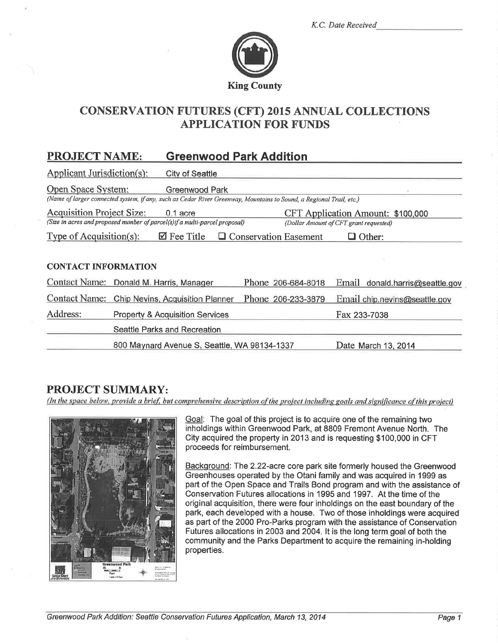|  | K.C. Date Received |
|--|--------------------|
|  |                    |



## **CONSERVATION FUTURES (CFT) 2015 ANNUAL COLLECTIONS APPLICATION FOR FUNDS**

#### **PROJECT NAME: Greenwood Park Addition**

| Applicant Jurisdiction(s):       | <b>City of Seattle</b>                                                                                                                |                              |                                                                             |
|----------------------------------|---------------------------------------------------------------------------------------------------------------------------------------|------------------------------|-----------------------------------------------------------------------------|
| Open Space System:               | Greenwood Park<br>(Name of larger connected system, if any, such as Cedar River Greenway, Mountains to Sound, a Regional Trail, etc.) |                              |                                                                             |
| <b>Acquisition Project Size:</b> | $0.1$ acre<br>(Size in acres and proposed number of parcel(s)if a multi-parcel proposal)                                              |                              | CFT Application Amount: \$100,000<br>(Dollar Amount of CFT grant requested) |
| Type of Acquisition(s):          | $\boxtimes$ Fee Title                                                                                                                 | <b>Conservation Easement</b> | $\Box$ Other:                                                               |
| <b>CONTACT INFORMATION</b>       |                                                                                                                                       |                              |                                                                             |
| <b>Contact Name:</b>             | Donald M. Harris, Manager                                                                                                             | Phone 206-684-8018           | Email donald.harris@seattle.gov                                             |
| <b>Contact Name:</b>             | Chip Nevins, Acquisition Planner                                                                                                      | Phone 206-233-3879           | Email chip.nevins@seattle.gov                                               |
| Address:                         | <b>Property &amp; Acquisition Services</b>                                                                                            |                              | Fax 233-7038                                                                |
|                                  | Seattle Parks and Recreation                                                                                                          |                              |                                                                             |
|                                  | 800 Maynard Avenue S, Seattle, WA 98134-1337                                                                                          |                              | Date March 13, 2014                                                         |

### **PROJECT SUMMARY:**

(In the space below, provide a brief, but comprehensive description of the project including goals and significance of this project)



Goal: The goal of this project is to acquire one of the remaining two inholdings within Greenwood Park, at 8809 Fremont Avenue North. The City acquired the property in 2013 and is requesting \$100,000 in CFT proceeds for reimbursement.

Background: The 2.22-acre core park site formerly housed the Greenwood Greenhouses operated by the Otani family and was acquired in 1999 as part of the Open Space and Trails Bond program and with the assistance of Conservation Futures allocations in 1995 and 1997. At the time of the original acquisition, there were four inholdings on the east boundary of the park, each developed with a house. Two of those inholdings were acquired as part of the 2000 Pro-Parks program with the assistance of Conservation Futures allocations in 2003 and 2004. It is the long term goal of both the community and the Parks Department to acquire the remaining in-holding properties.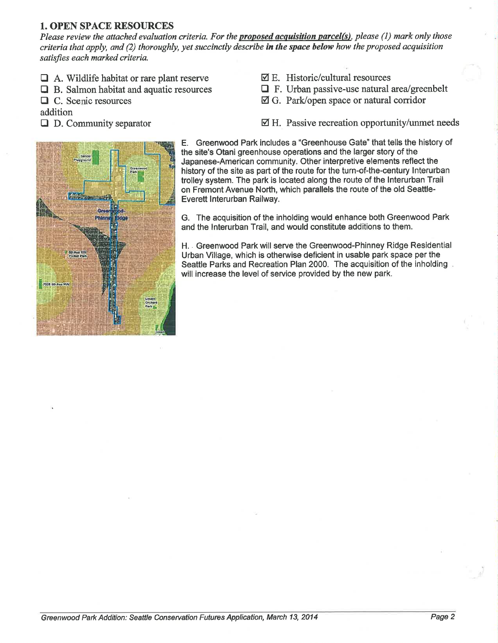#### 1. OPEN SPACE RESOURCES

Please review the attached evaluation criteria. For the proposed acquisition parcel(s), please (1) mark only those criteria that apply, and (2) thoroughly, yet succinctly describe in the space below how the proposed acquisition satisfies each marked criteria.

- $\Box$  A. Wildlife habitat or rare plant reserve
- $\Box$  B. Salmon habitat and aquatic resources
- $\Box$  C. Scenic resources

addition

 $\Box$  D. Community separator

- $\nabla$  E. Historic/cultural resources
- $\Box$  F. Urban passive-use natural area/greenbelt
- El G. Park/open space or natural corridor
- $\boxtimes$  H. Passive recreation opportunity/unmet needs



E. Greenwood Park includes a "Greenhouse Gate" that tells the history of the site's Otani greenhouse operations and the larger story of the Japanese-American community. Other interpretive elements reflect the history of the site as part of the route for the turn-of-the-century lnterurban trolley system. The park is located along the route of the lnterurban Trail on Fremont Avenue North, which parallels the route of the old Seattle-Everett lnterurban Railway.

G. The acquisition of the inholding would enhance both Greenwood Park and the lnterurban Trail, and would constitute additions to them.

H. . Greenwood Park will serve the Greenwood-Phinney Ridge Residential Urban Village, which is otherwise deficient in usable park space per the Seattle Parks and Recreation Plan 2000, The acquisition of the inholding will increase the level of service provided by the new park.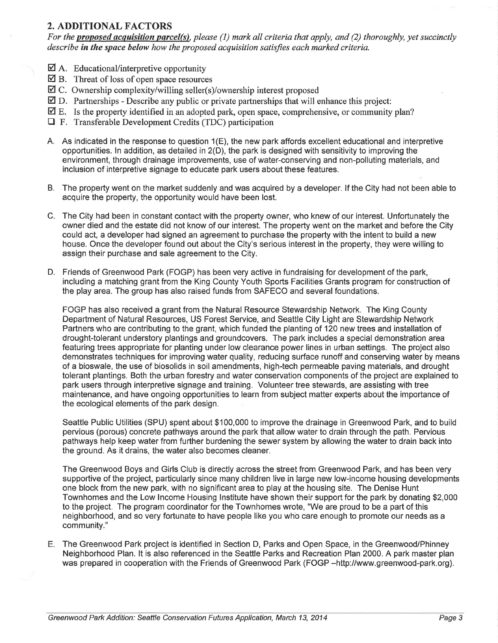#### 2. ADDITIONAL FACTORS

For the proposed acquisition parcel(s), please  $(1)$  mark all criteria that apply, and  $(2)$  thoroughly, yet succinctly describe in the space below how the proposed acquisition satisfies each marked criteria.

- $\boxtimes$  A. Educational/interpretive opportunity
- $\boxtimes$  B. Threat of loss of open space resources
- $\overline{\mathcal{A}}$  C. Ownership complexity/willing seller(s)/ownership interest proposed
- $\overline{2}$  D. Partnerships Describe any public or private partnerships that will enhance this project:
- $\overline{\mathcal{A}}$  E. Is the property identified in an adopted park, open space, comprehensive, or community plan?
- **T** F. Transferable Development Credits (TDC) participation
- A. As indicated in the response to question 1(E), the new park affords excellent educational and interpretive opportunities. ln addition, as detailed in 2(D), the park is designed with sensitivity to improving the environment, through drainage improvements, use of water-conserving and non-polluting materials, and inclusion of interpretive signage to educate park users about these features.
- B. The property went on the market suddenly and was acquired by a developer. lf the City had not been able to acquire the property, the opportunity would have been lost.
- C. The City had been in constant contact with the property owner, who knew of our interest. Unfortunately the owner died and the estate did not know of our interest. The property went on the market and before the City could act, a developer had signed an agreement to purchase the property with the intent to build a new house. Once the developer found out about the City's serious interest in the property, they were willing to assign their purchase and sale agreement to the City.
- D. Friends of Greenwood Park (FOGP) has been very active in fundraising for development of the park, including a matching grant from the King County Youth Sports Facilities Grants program for construction of the play area. The group has also raised funds from SAFECO and several foundations.

FOGP has also received a grant from the Natural Resource Stewardship Network. The King County Department of Natural Resources, US Forest Service, and Seattle City Light are Stewardship Network Partners who are contributing to the grant, which funded the planting of 120 new trees and installation of drought-tolerant understory plantings and groundcovers. The park includes a special demonstration area featuring trees appropriate for planting under low clearance power lines in urban settings. The project also demonstrates techniques for improving water quality, reducing surface runoff and conserving water by means of a bioswale, the use of biosolids in soil amendments, high-tech permeable paving materials, and drought tolerant plantings. Both the urban forestry and water conservation components of the project are explained to park users through interpretive signage and training. Volunteer tree stewards, are assisting with tree maintenance, and have ongoing opportunities to learn from subject matter experts about the importance of the ecological elements of the park design.

Seattle Public Utilities (SPU) spent about \$100,000 to improve the drainage in Greenwood Park, and to build pervious (porous) concrete pathways around the park that allow water to drain through the path. Pervious pathways help keep water from further burdening the sewer system by allowing the water to drain back into the ground. As it drains, the water also becomes cleaner.

The Greenwood Boys and Girls Club ís directly across the street from Greenwood Park, and has been very supportive of the project, particularly since many children live in large new low-income housing developments one block from the new park, with no significant area to play at the housing site. The Denise Hunt Townhomes and the Low lncome Housing lnstitute have shown their support for the park by donating \$2,000 to the project. The program coordinator for the Townhomes wrote, "We are proud to be a part of this neighborhood, and so very fortunate to have people like you who care enough to promote our needs as a community."

E. The Greenwood Park project is identified in Section D, Parks and Open Space, in the Greenwood/Phinney Neighborhood Plan. lt is also referenced in the Seattle Parks and Recreation Plan 2000. A park master plan was prepared in cooperation with the Friends of Greenwood Park (FOGP -http://www.greenwood-park.org).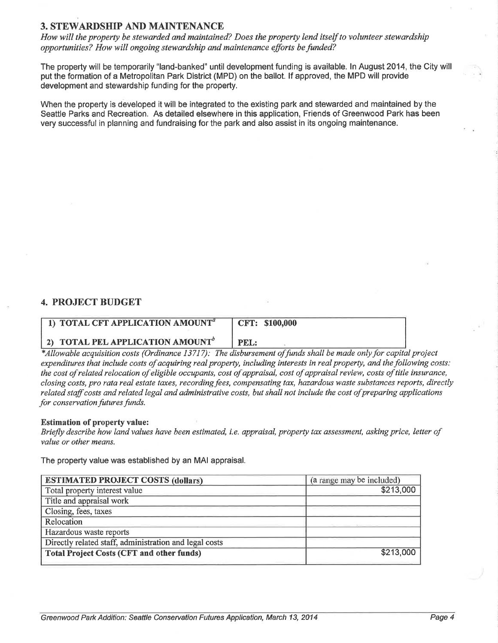### 3. STEWARDSHIP AND MAINTENANCE

How will the property be stewarded and maintained? Does the property lend itself to volunteer stewardship opportunities? How will ongoing stewardship and maintenance efforts be funded?

The property will be temporarily "land-banked" until development funding is available. ln August 2014, the City will put the formation of a Metropolitan Park District (MPD) on the ballot. lf approved, the MPD will provide development and stewardship funding for the property.

When the property is developed it will be integrated to the existing park and stewarded and maintained by the Seattle Parks and Recreation. As detailed elsewhere in this application, Friends of Greenwood Park has been very successful in planning and fundraising for the park and also assist in its ongoing maintenance.

#### 4. PROJECT BUDGET

| 1) TOTAL CFT APPLICATION AMOUNT <sup>a</sup> | CFT: \$100,000 |
|----------------------------------------------|----------------|
| 2) TOTAL PEL APPLICATION AMOUNT <sup>o</sup> | PEL:           |

\*Allowable acquisition costs (Ordinance 13717): The disbursement of funds shall be made only for capital project expenditures that include costs of acquiring real property, including interests in real property, and the followíng costs: the cost of related relocation of eligible occupants, cost of appraisal, cost of appraisal review, costs of title insurance, closing costs, pro rata real estate taxes, recording fees, compensating tax, hazardous waste substances reports, directly related staff costs and related legal and administrative costs, but shall not include the cost of preparing applications for conservation futures funds.

#### Estimation of property value:

Briefly describe how land values have been estimated, i.e. appraisal, property tax assessment, asking price, letter of value or other means.

The property value was established by an MAI appraisal.

| <b>ESTIMATED PROJECT COSTS (dollars)</b>               | (a range may be included) |
|--------------------------------------------------------|---------------------------|
| Total property interest value                          | \$213,000                 |
| Title and appraisal work                               |                           |
| Closing, fees, taxes                                   |                           |
| Relocation                                             |                           |
| Hazardous waste reports                                |                           |
| Directly related staff, administration and legal costs |                           |
| Total Project Costs (CFT and other funds)              | \$213,000                 |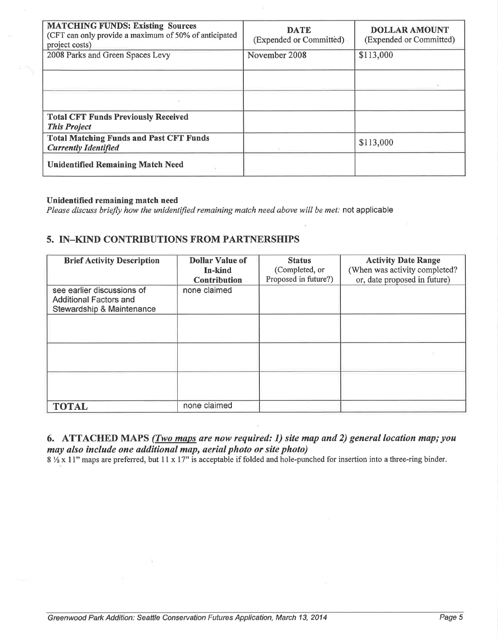| <b>MATCHING FUNDS: Existing Sources</b><br>(CFT can only provide a maximum of 50% of anticipated<br>project costs) | <b>DATE</b><br>(Expended or Committed) | <b>DOLLAR AMOUNT</b><br>(Expended or Committed) |
|--------------------------------------------------------------------------------------------------------------------|----------------------------------------|-------------------------------------------------|
| 2008 Parks and Green Spaces Levy                                                                                   | November 2008                          | \$113,000                                       |
|                                                                                                                    |                                        |                                                 |
|                                                                                                                    |                                        |                                                 |
| <b>Total CFT Funds Previously Received</b><br><b>This Project</b>                                                  |                                        |                                                 |
| <b>Total Matching Funds and Past CFT Funds</b><br><b>Currently Identified</b>                                      |                                        | \$113,000                                       |
| <b>Unidentified Remaining Match Need</b>                                                                           |                                        |                                                 |

#### Unidentified remaining match need

Please discuss briefly how the unidentified remaining match need above will be met: not applicable

#### 5. IN-KIND CONTRIBUTIONS FROM PARTNERSHIPS

| <b>Brief Activity Description</b>                                                        | <b>Dollar Value of</b><br>In-kind<br><b>Contribution</b> | <b>Status</b><br>(Completed, or<br>Proposed in future?) | <b>Activity Date Range</b><br>(When was activity completed?<br>or, date proposed in future) |
|------------------------------------------------------------------------------------------|----------------------------------------------------------|---------------------------------------------------------|---------------------------------------------------------------------------------------------|
| see earlier discussions of<br><b>Additional Factors and</b><br>Stewardship & Maintenance | none claimed                                             |                                                         |                                                                                             |
|                                                                                          |                                                          |                                                         |                                                                                             |
|                                                                                          |                                                          |                                                         |                                                                                             |
|                                                                                          |                                                          |                                                         |                                                                                             |
| <b>TOTAL</b>                                                                             | none claimed                                             |                                                         |                                                                                             |

# 6. ATTACHED MAPS (*Two maps are now required: 1) site map and 2) general location map; you* **may also include one additional map, aerial photo or site photo)**<br>8  $\frac{1}{2}$  x 11" maps are preferred, but 11 x 17" is acceptable if folded and hole-punched for insertion into a three-ring binder.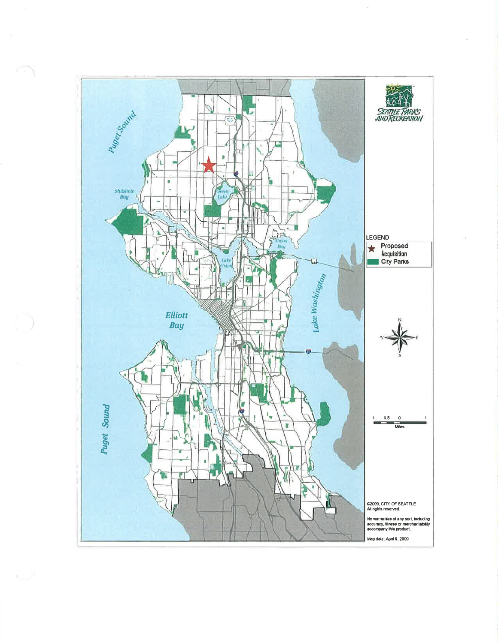

 $\mathbf{x}$  .  $\mathbf{y}$ 

×